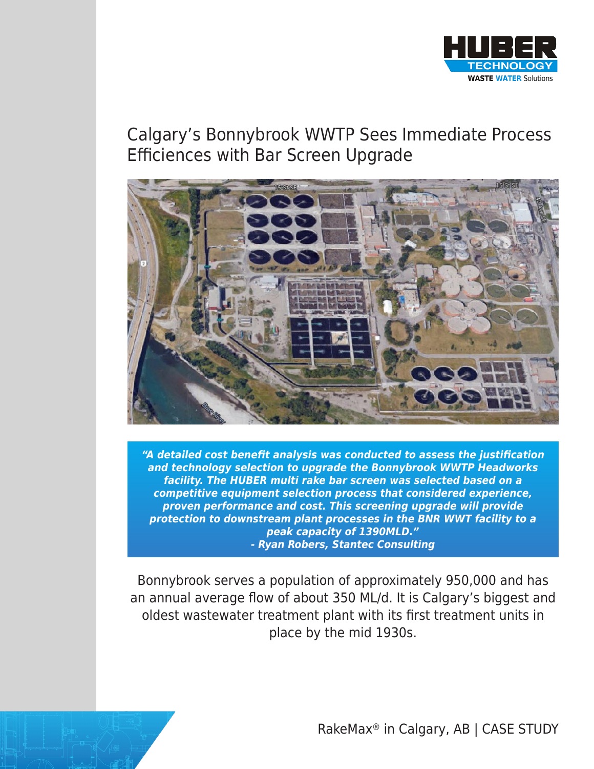

## Calgary's Bonnybrook WWTP Sees Immediate Process Efficiences with Bar Screen Upgrade



**"A detailed cost benefit analysis was conducted to assess the justification and technology selection to upgrade the Bonnybrook WWTP Headworks facility. The HUBER multi rake bar screen was selected based on a competitive equipment selection process that considered experience, proven performance and cost. This screening upgrade will provide protection to downstream plant processes in the BNR WWT facility to a peak capacity of 1390MLD." - Ryan Robers, Stantec Consulting**

Bonnybrook serves a population of approximately 950,000 and has an annual average flow of about 350 ML/d. It is Calgary's biggest and oldest wastewater treatment plant with its first treatment units in place by the mid 1930s.

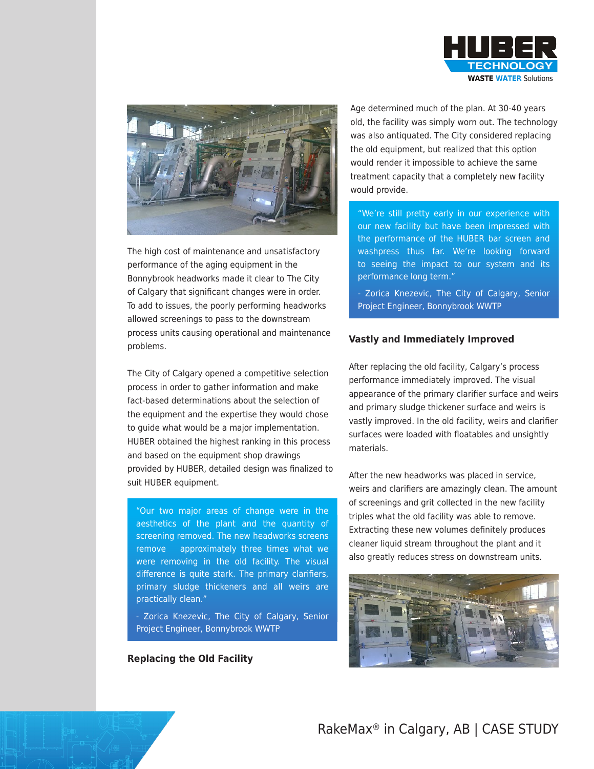



The high cost of maintenance and unsatisfactory performance of the aging equipment in the Bonnybrook headworks made it clear to The City of Calgary that significant changes were in order. To add to issues, the poorly performing headworks allowed screenings to pass to the downstream process units causing operational and maintenance problems.

The City of Calgary opened a competitive selection process in order to gather information and make fact-based determinations about the selection of the equipment and the expertise they would chose to guide what would be a major implementation. HUBER obtained the highest ranking in this process and based on the equipment shop drawings provided by HUBER, detailed design was finalized to suit HUBER equipment.

"Our two major areas of change were in the aesthetics of the plant and the quantity of screening removed. The new headworks screens remove approximately three times what we were removing in the old facility. The visual difference is quite stark. The primary clarifiers, primary sludge thickeners and all weirs are practically clean."

- Zorica Knezevic, The City of Calgary, Senior Project Engineer, Bonnybrook WWTP

**Replacing the Old Facility**

Age determined much of the plan. At 30-40 years old, the facility was simply worn out. The technology was also antiquated. The City considered replacing the old equipment, but realized that this option would render it impossible to achieve the same treatment capacity that a completely new facility would provide.

"We're still pretty early in our experience with our new facility but have been impressed with the performance of the HUBER bar screen and washpress thus far. We're looking forward to seeing the impact to our system and its performance long term."

- Zorica Knezevic, The City of Calgary, Senior Project Engineer, Bonnybrook WWTP

## **Vastly and Immediately Improved**

After replacing the old facility, Calgary's process performance immediately improved. The visual appearance of the primary clarifier surface and weirs and primary sludge thickener surface and weirs is vastly improved. In the old facility, weirs and clarifier surfaces were loaded with floatables and unsightly materials.

After the new headworks was placed in service, weirs and clarifiers are amazingly clean. The amount of screenings and grit collected in the new facility triples what the old facility was able to remove. Extracting these new volumes definitely produces cleaner liquid stream throughout the plant and it also greatly reduces stress on downstream units.